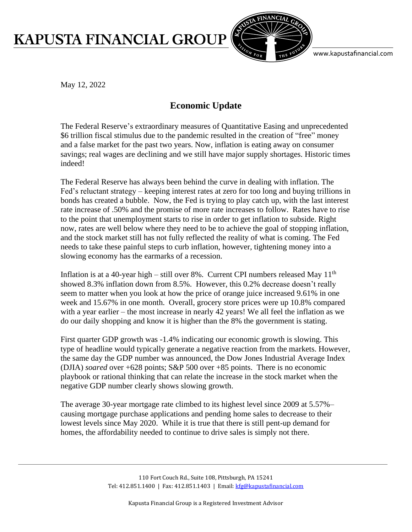## **KAPUSTA FINANCIAL GROUP**



www.kapustafinancial.com

May 12, 2022

## **Economic Update**

The Federal Reserve's extraordinary measures of Quantitative Easing and unprecedented \$6 trillion fiscal stimulus due to the pandemic resulted in the creation of "free" money and a false market for the past two years. Now, inflation is eating away on consumer savings; real wages are declining and we still have major supply shortages. Historic times indeed!

The Federal Reserve has always been behind the curve in dealing with inflation. The Fed's reluctant strategy – keeping interest rates at zero for too long and buying trillions in bonds has created a bubble. Now, the Fed is trying to play catch up, with the last interest rate increase of .50% and the promise of more rate increases to follow. Rates have to rise to the point that unemployment starts to rise in order to get inflation to subside. Right now, rates are well below where they need to be to achieve the goal of stopping inflation, and the stock market still has not fully reflected the reality of what is coming. The Fed needs to take these painful steps to curb inflation, however, tightening money into a slowing economy has the earmarks of a recession.

Inflation is at a 40-year high – still over 8%. Current CPI numbers released May  $11<sup>th</sup>$ showed 8.3% inflation down from 8.5%. However, this 0.2% decrease doesn't really seem to matter when you look at how the price of orange juice increased 9.61% in one week and 15.67% in one month. Overall, grocery store prices were up 10.8% compared with a year earlier – the most increase in nearly 42 years! We all feel the inflation as we do our daily shopping and know it is higher than the 8% the government is stating.

First quarter GDP growth was -1.4% indicating our economic growth is slowing. This type of headline would typically generate a negative reaction from the markets. However, the same day the GDP number was announced, the Dow Jones Industrial Average Index (DJIA) *soared* over +628 points; S&P 500 over +85 points. There is no economic playbook or rational thinking that can relate the increase in the stock market when the negative GDP number clearly shows slowing growth.

The average 30-year mortgage rate climbed to its highest level since 2009 at 5.57%– causing mortgage purchase applications and pending home sales to decrease to their lowest levels since May 2020. While it is true that there is still pent-up demand for homes, the affordability needed to continue to drive sales is simply not there.